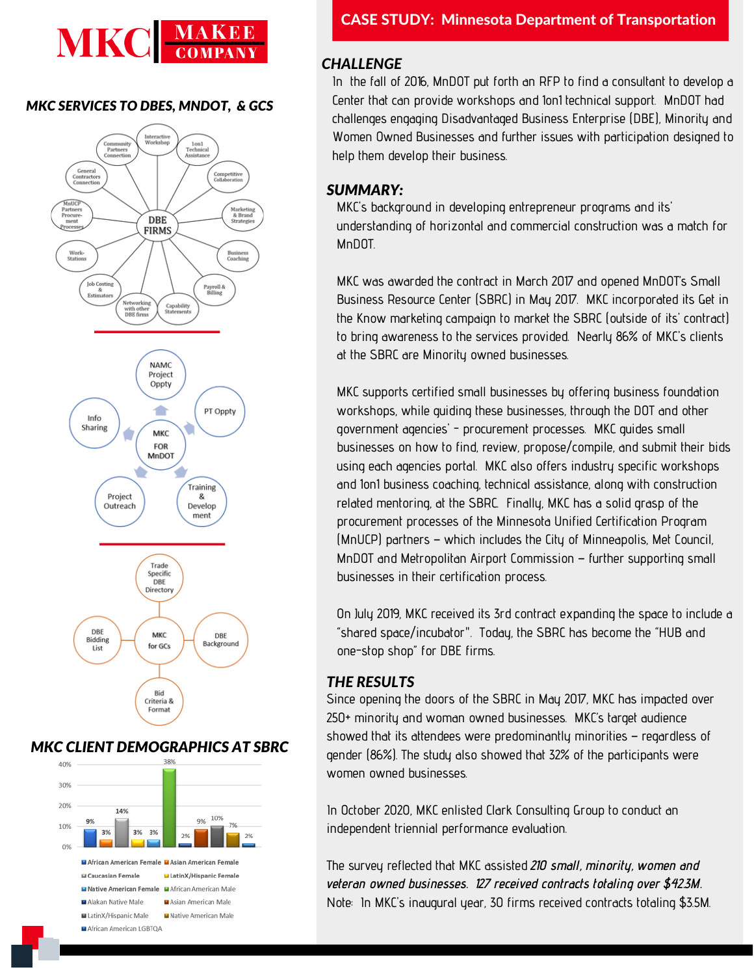# **MKC**

### *MKC SERVICES TO DBES, MNDOT, & GCS*



# *MKC CLIENT DEMOGRAPHICS AT SBRC*



# *CHALLENGE*

In the fall of 2016, MnDOT put forth an RFP to find a consultant to develop a Center that can provide workshops and 1on1 technical support. MnDOT had challenges engaging Disadvantaged Business Enterprise (DBE), Minority and Women Owned Businesses and further issues with participation designed to help them develop their business.

## *SUMMARY:*

MKC's background in developing entrepreneur programs and its' understanding of horizontal and commercial construction was a match for MnDOT.

MKC was awarded the contract in March 2017 and opened MnDOT's Small Business Resource Center (SBRC) in May 2017. MKC incorporated its Get in the Know marketing campaign to market the SBRC (outside of its' contract) to bring awareness to the services provided. Nearly 86% of MKC's clients at the SBRC are Minority owned businesses.

MKC supports certified small businesses by offering business foundation workshops, while guiding these businesses, through the DOT and other government agencies' - procurement processes. MKC guides small businesses on how to find, review, propose/compile, and submit their bids using each agencies portal. MKC also offers industry specific workshops and 1on1 business coaching, technical assistance, along with construction related mentoring, at the SBRC. Finally, MKC has a solid grasp of the procurement processes of the Minnesota Unified Certification Program (MnUCP) partners – which includes the City of Minneapolis, Met Council, MnDOT and Metropolitan Airport Commission – further supporting small businesses in their certification process.

On July 2019, MKC received its 3rd contract expanding the space to include a "shared space/incubator". Today, the SBRC has become the "HUB and one-stop shop" for DBE firms.

# *THE RESULTS*

Since opening the doors of the SBRC in May 2017, MKC has impacted over 250+ minority and woman owned businesses. MKC's target audience showed that its attendees were predominantly minorities – regardless of gender (86%). The study also showed that 32% of the participants were women owned businesses.

In October 2020, MKC enlisted Clark Consulting Group to conduct an independent triennial performance evaluation.

The survey reflected that MKC assisted 210 small, minority, women and veteran owned businesses. 127 received contracts totaling over \$42.3M. Note: In MKC's inaugural year, 30 firms received contracts totaling \$3.5M.